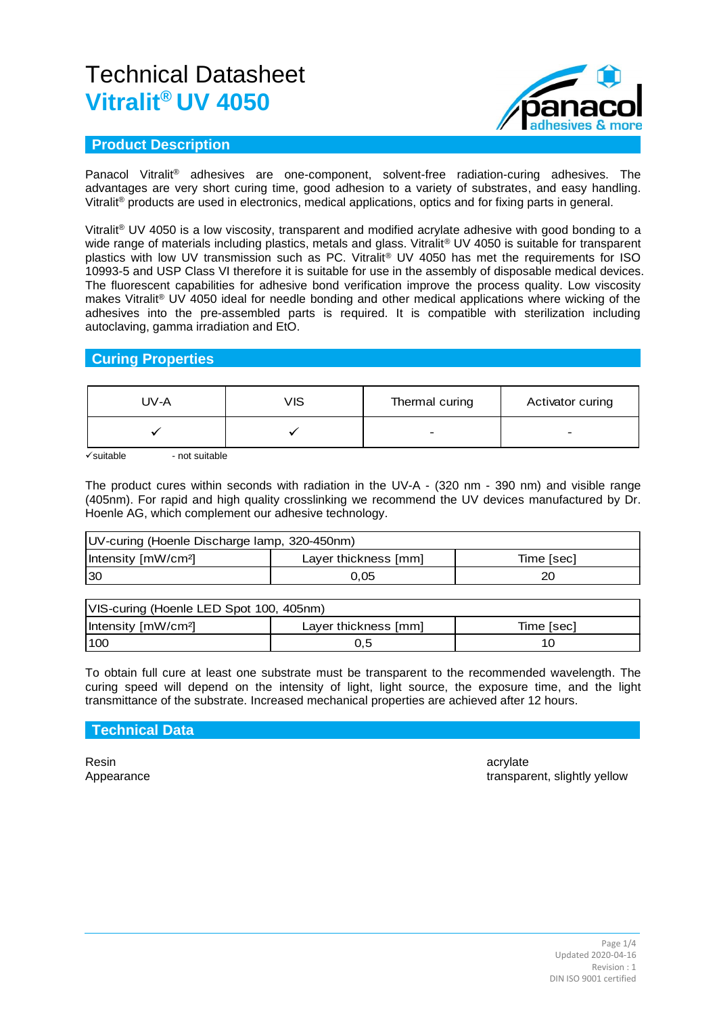

## **Product Description**

Panacol Vitralit® adhesives are one-component, solvent-free radiation-curing adhesives. The advantages are very short curing time, good adhesion to a variety of substrates, and easy handling. Vitralit® products are used in electronics, medical applications, optics and for fixing parts in general.

Vitralit® UV 4050 is a low viscosity, transparent and modified acrylate adhesive with good bonding to a wide range of materials including plastics, metals and glass. Vitralit<sup>®</sup> UV 4050 is suitable for transparent plastics with low UV transmission such as PC. Vitralit® UV 4050 has met the requirements for ISO 10993-5 and USP Class VI therefore it is suitable for use in the assembly of disposable medical devices. The fluorescent capabilities for adhesive bond verification improve the process quality. Low viscosity makes Vitralit® UV 4050 ideal for needle bonding and other medical applications where wicking of the adhesives into the pre-assembled parts is required. It is compatible with sterilization including autoclaving, gamma irradiation and EtO.

# **Curing Properties**

| UV-A | /IS | Thermal curing           | Activator curing |
|------|-----|--------------------------|------------------|
|      |     | $\overline{\phantom{0}}$ |                  |

✓suitable - not suitable

The product cures within seconds with radiation in the UV-A - (320 nm - 390 nm) and visible range (405nm). For rapid and high quality crosslinking we recommend the UV devices manufactured by Dr. Hoenle AG, which complement our adhesive technology.

| UV-curing (Hoenle Discharge lamp, 320-450nm) |                                    |    |  |
|----------------------------------------------|------------------------------------|----|--|
| Intensity $\lceil mW/cm^2 \rceil$            | Layer thickness [mm]<br>Time [sec] |    |  |
| 30                                           | 0.05                               | 20 |  |

| VIS-curing (Hoenle LED Spot 100, 405nm)                               |  |  |  |
|-----------------------------------------------------------------------|--|--|--|
| Intensity [mW/cm <sup>2</sup> ]<br>Layer thickness [mm]<br>Time [sec] |  |  |  |
| 1100                                                                  |  |  |  |

To obtain full cure at least one substrate must be transparent to the recommended wavelength. The curing speed will depend on the intensity of light, light source, the exposure time, and the light transmittance of the substrate. Increased mechanical properties are achieved after 12 hours.

# **Technical Data**

Resin acrylate the control of the control of the control of the control of the control of the control of the control of the control of the control of the control of the control of the control of the control of the control

Appearance transparent, slightly yellow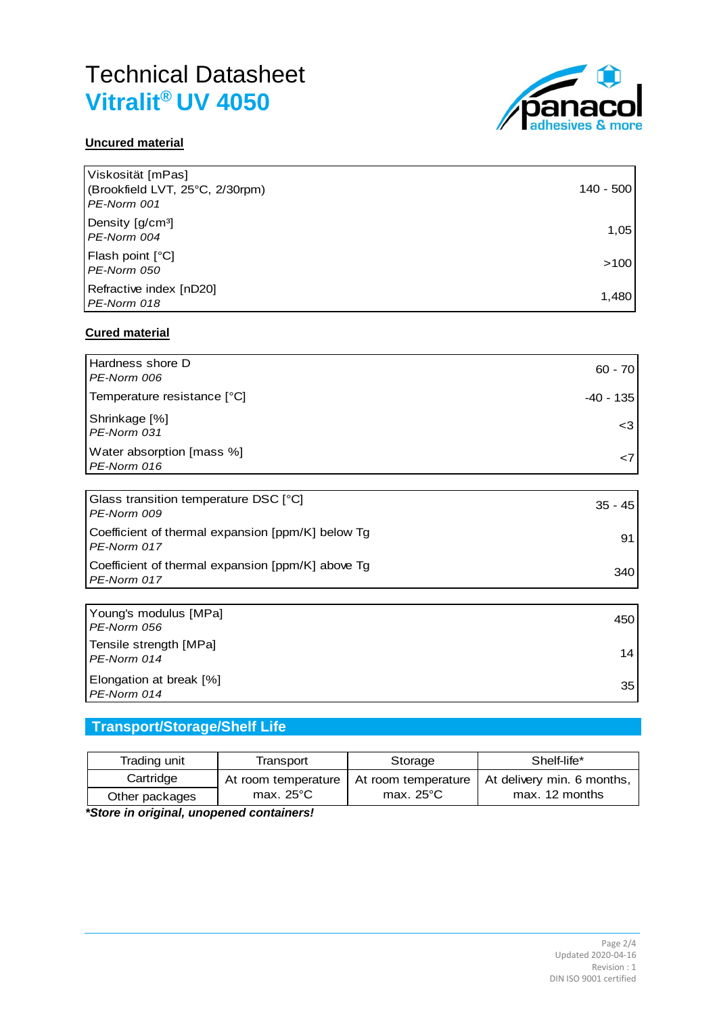

# **Uncured material**

| Viskosität [mPas]<br>(Brookfield LVT, 25°C, 2/30rpm)<br>PE-Norm 001 | 140 - 500 |
|---------------------------------------------------------------------|-----------|
| Density [g/cm <sup>3</sup> ]<br>PE-Norm 004                         | 1,05      |
| Flash point $[^{\circ}C]$<br>PE-Norm 050                            | >100      |
| Refractive index [nD20]<br>PE-Norm 018                              | 1,480     |

## **Cured material**

| Hardness shore D<br>PE-Norm 006          | 60 - 70   |
|------------------------------------------|-----------|
| Temperature resistance [°C]              | -40 - 135 |
| Shrinkage [%]<br>PE-Norm 031             | $<$ 3     |
| Water absorption [mass %]<br>PE-Norm 016 |           |
|                                          |           |

| Glass transition temperature DSC [°C]<br>PE-Norm 009             | $35 - 45$ |
|------------------------------------------------------------------|-----------|
| Coefficient of thermal expansion [ppm/K] below Tg<br>PE-Norm 017 | 91        |
| Coefficient of thermal expansion [ppm/K] above Tg<br>PE-Norm 017 | 340       |

| Young's modulus [MPa]<br>PE-Norm 056   | 450 |
|----------------------------------------|-----|
| Tensile strength [MPa]<br>PE-Norm 014  | 14  |
| Elongation at break [%]<br>PE-Norm 014 | 35  |

# **Transport/Storage/Shelf Life**

| Trading unit                               | Transport           | Storage             | Shelf-life*                |
|--------------------------------------------|---------------------|---------------------|----------------------------|
| Cartridge                                  | At room temperature | At room temperature | At delivery min. 6 months, |
| Other packages                             | max. $25^{\circ}$ C | max. 25°C           | max. 12 months             |
| $*C$ toro in original unanonad containaral |                     |                     |                            |

*\*Store in original, unopened containers!*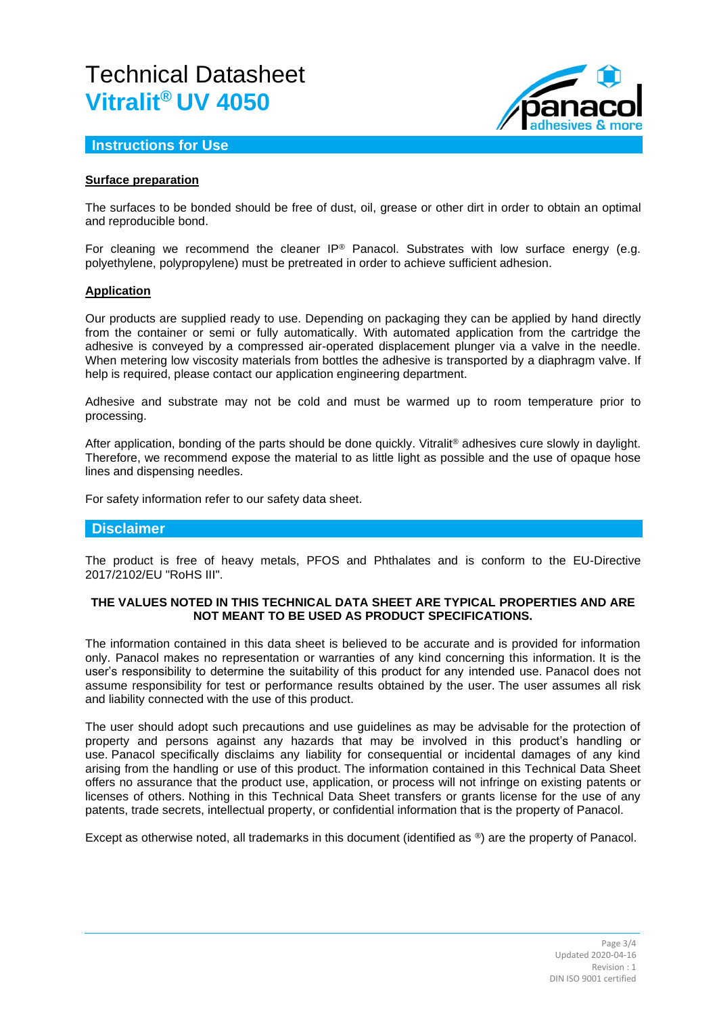## **Instructions for Use**





The surfaces to be bonded should be free of dust, oil, grease or other dirt in order to obtain an optimal and reproducible bond.

For cleaning we recommend the cleaner  $IP^{\circledast}$  Panacol. Substrates with low surface energy (e.g. polyethylene, polypropylene) must be pretreated in order to achieve sufficient adhesion.

### **Application**

Our products are supplied ready to use. Depending on packaging they can be applied by hand directly from the container or semi or fully automatically. With automated application from the cartridge the adhesive is conveyed by a compressed air-operated displacement plunger via a valve in the needle. When metering low viscosity materials from bottles the adhesive is transported by a diaphragm valve. If help is required, please contact our application engineering department.

Adhesive and substrate may not be cold and must be warmed up to room temperature prior to processing.

After application, bonding of the parts should be done quickly. Vitralit® adhesives cure slowly in daylight. Therefore, we recommend expose the material to as little light as possible and the use of opaque hose lines and dispensing needles.

For safety information refer to our safety data sheet.

### **Disclaimer**

The product is free of heavy metals, PFOS and Phthalates and is conform to the EU-Directive 2017/2102/EU "RoHS III".

### **THE VALUES NOTED IN THIS TECHNICAL DATA SHEET ARE TYPICAL PROPERTIES AND ARE NOT MEANT TO BE USED AS PRODUCT SPECIFICATIONS.**

The information contained in this data sheet is believed to be accurate and is provided for information only. Panacol makes no representation or warranties of any kind concerning this information. It is the user's responsibility to determine the suitability of this product for any intended use. Panacol does not assume responsibility for test or performance results obtained by the user. The user assumes all risk and liability connected with the use of this product.

The user should adopt such precautions and use guidelines as may be advisable for the protection of property and persons against any hazards that may be involved in this product's handling or use. Panacol specifically disclaims any liability for consequential or incidental damages of any kind arising from the handling or use of this product. The information contained in this Technical Data Sheet offers no assurance that the product use, application, or process will not infringe on existing patents or licenses of others. Nothing in this Technical Data Sheet transfers or grants license for the use of any patents, trade secrets, intellectual property, or confidential information that is the property of Panacol.

Except as otherwise noted, all trademarks in this document (identified as ®) are the property of Panacol.